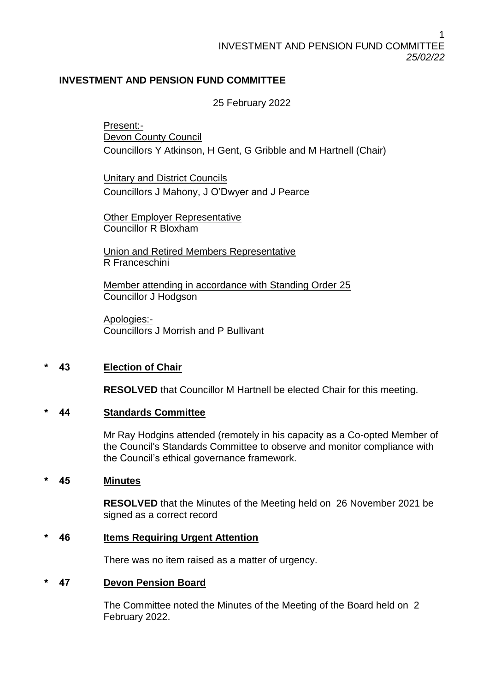# **INVESTMENT AND PENSION FUND COMMITTEE**

25 February 2022

Present:- Devon County Council Councillors Y Atkinson, H Gent, G Gribble and M Hartnell (Chair)

Unitary and District Councils Councillors J Mahony, J O'Dwyer and J Pearce

Other Employer Representative Councillor R Bloxham

Union and Retired Members Representative R Franceschini

Member attending in accordance with Standing Order 25 Councillor J Hodgson

Apologies:- Councillors J Morrish and P Bullivant

# **\* 43 Election of Chair**

**RESOLVED** that Councillor M Hartnell be elected Chair for this meeting.

# **\* 44 Standards Committee**

Mr Ray Hodgins attended (remotely in his capacity as a Co-opted Member of the Council's Standards Committee to observe and monitor compliance with the Council's ethical governance framework.

#### **\* 45 Minutes**

**RESOLVED** that the Minutes of the Meeting held on 26 November 2021 be signed as a correct record

#### **\* 46 Items Requiring Urgent Attention**

There was no item raised as a matter of urgency.

#### **\* 47 Devon Pension Board**

The Committee noted the Minutes of the Meeting of the Board held on 2 February 2022.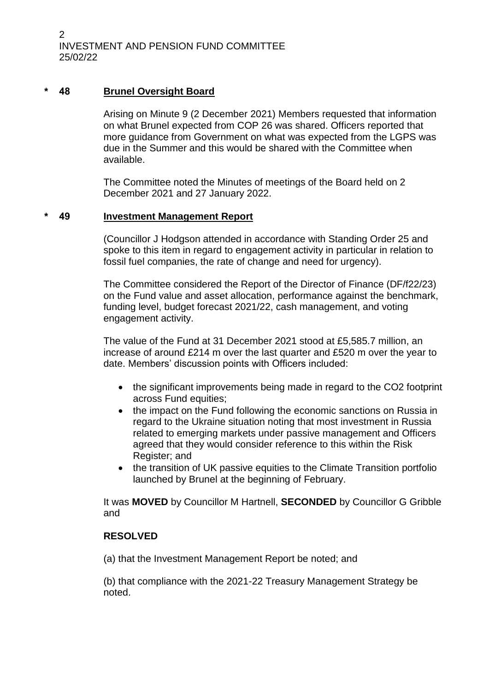2 INVESTMENT AND PENSION FUND COMMITTEE 25/02/22

### **\* 48 Brunel Oversight Board**

Arising on Minute 9 (2 December 2021) Members requested that information on what Brunel expected from COP 26 was shared. Officers reported that more guidance from Government on what was expected from the LGPS was due in the Summer and this would be shared with the Committee when available.

The Committee noted the Minutes of meetings of the Board held on 2 December 2021 and 27 January 2022.

### **\* 49 Investment Management Report**

(Councillor J Hodgson attended in accordance with Standing Order 25 and spoke to this item in regard to engagement activity in particular in relation to fossil fuel companies, the rate of change and need for urgency).

The Committee considered the Report of the Director of Finance (DF/f22/23) on the Fund value and asset allocation, performance against the benchmark, funding level, budget forecast 2021/22, cash management, and voting engagement activity.

The value of the Fund at 31 December 2021 stood at £5,585.7 million, an increase of around £214 m over the last quarter and £520 m over the year to date. Members' discussion points with Officers included:

- the significant improvements being made in regard to the CO2 footprint across Fund equities;
- the impact on the Fund following the economic sanctions on Russia in regard to the Ukraine situation noting that most investment in Russia related to emerging markets under passive management and Officers agreed that they would consider reference to this within the Risk Register; and
- the transition of UK passive equities to the Climate Transition portfolio launched by Brunel at the beginning of February.

It was **MOVED** by Councillor M Hartnell, **SECONDED** by Councillor G Gribble and

### **RESOLVED**

(a) that the Investment Management Report be noted; and

(b) that compliance with the 2021-22 Treasury Management Strategy be noted.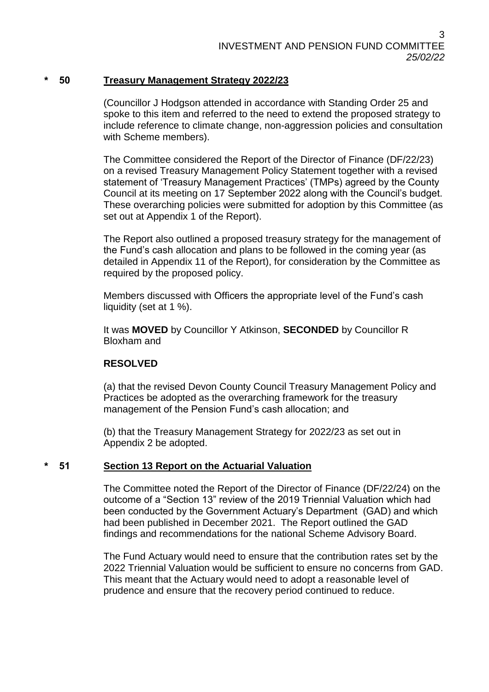### **\* 50 Treasury Management Strategy 2022/23**

(Councillor J Hodgson attended in accordance with Standing Order 25 and spoke to this item and referred to the need to extend the proposed strategy to include reference to climate change, non-aggression policies and consultation with Scheme members).

The Committee considered the Report of the Director of Finance (DF/22/23) on a revised Treasury Management Policy Statement together with a revised statement of 'Treasury Management Practices' (TMPs) agreed by the County Council at its meeting on 17 September 2022 along with the Council's budget. These overarching policies were submitted for adoption by this Committee (as set out at Appendix 1 of the Report).

The Report also outlined a proposed treasury strategy for the management of the Fund's cash allocation and plans to be followed in the coming year (as detailed in Appendix 11 of the Report), for consideration by the Committee as required by the proposed policy.

Members discussed with Officers the appropriate level of the Fund's cash liquidity (set at 1 %).

It was **MOVED** by Councillor Y Atkinson, **SECONDED** by Councillor R Bloxham and

# **RESOLVED**

(a) that the revised Devon County Council Treasury Management Policy and Practices be adopted as the overarching framework for the treasury management of the Pension Fund's cash allocation; and

(b) that the Treasury Management Strategy for 2022/23 as set out in Appendix 2 be adopted.

#### **\* 51 Section 13 Report on the Actuarial Valuation**

The Committee noted the Report of the Director of Finance (DF/22/24) on the outcome of a "Section 13" review of the 2019 Triennial Valuation which had been conducted by the Government Actuary's Department (GAD) and which had been published in December 2021. The Report outlined the GAD findings and recommendations for the national Scheme Advisory Board.

The Fund Actuary would need to ensure that the contribution rates set by the 2022 Triennial Valuation would be sufficient to ensure no concerns from GAD. This meant that the Actuary would need to adopt a reasonable level of prudence and ensure that the recovery period continued to reduce.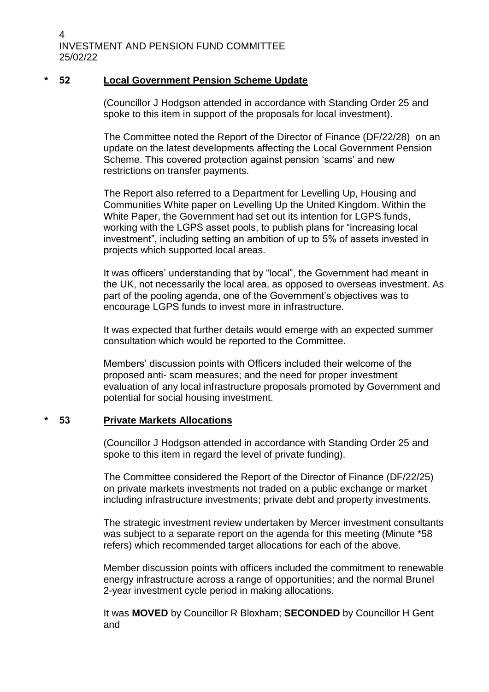```
4
INVESTMENT AND PENSION FUND COMMITTEE
25/02/22
```
# **\* 52 Local Government Pension Scheme Update**

(Councillor J Hodgson attended in accordance with Standing Order 25 and spoke to this item in support of the proposals for local investment).

The Committee noted the Report of the Director of Finance (DF/22/28) on an update on the latest developments affecting the Local Government Pension Scheme. This covered protection against pension 'scams' and new restrictions on transfer payments.

The Report also referred to a Department for Levelling Up, Housing and Communities White paper on Levelling Up the United Kingdom. Within the White Paper, the Government had set out its intention for LGPS funds, working with the LGPS asset pools, to publish plans for "increasing local investment", including setting an ambition of up to 5% of assets invested in projects which supported local areas.

It was officers' understanding that by "local", the Government had meant in the UK, not necessarily the local area, as opposed to overseas investment. As part of the pooling agenda, one of the Government's objectives was to encourage LGPS funds to invest more in infrastructure.

It was expected that further details would emerge with an expected summer consultation which would be reported to the Committee.

Members' discussion points with Officers included their welcome of the proposed anti- scam measures; and the need for proper investment evaluation of any local infrastructure proposals promoted by Government and potential for social housing investment.

# **\* 53 Private Markets Allocations**

(Councillor J Hodgson attended in accordance with Standing Order 25 and spoke to this item in regard the level of private funding).

The Committee considered the Report of the Director of Finance (DF/22/25) on private markets investments not traded on a public exchange or market including infrastructure investments; private debt and property investments.

The strategic investment review undertaken by Mercer investment consultants was subject to a separate report on the agenda for this meeting (Minute \*58 refers) which recommended target allocations for each of the above.

Member discussion points with officers included the commitment to renewable energy infrastructure across a range of opportunities; and the normal Brunel 2-year investment cycle period in making allocations.

It was **MOVED** by Councillor R Bloxham; **SECONDED** by Councillor H Gent and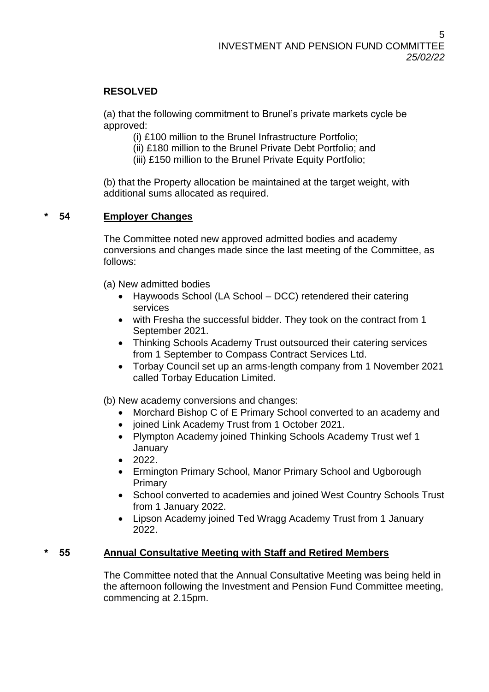# **RESOLVED**

(a) that the following commitment to Brunel's private markets cycle be approved:

(i) £100 million to the Brunel Infrastructure Portfolio;

(ii) £180 million to the Brunel Private Debt Portfolio; and

(iii) £150 million to the Brunel Private Equity Portfolio;

(b) that the Property allocation be maintained at the target weight, with additional sums allocated as required.

# **\* 54 Employer Changes**

The Committee noted new approved admitted bodies and academy conversions and changes made since the last meeting of the Committee, as follows:

(a) New admitted bodies

- Haywoods School (LA School DCC) retendered their catering services
- with Fresha the successful bidder. They took on the contract from 1 September 2021.
- Thinking Schools Academy Trust outsourced their catering services from 1 September to Compass Contract Services Ltd.
- Torbay Council set up an arms-length company from 1 November 2021 called Torbay Education Limited.

(b) New academy conversions and changes:

- Morchard Bishop C of E Primary School converted to an academy and
- joined Link Academy Trust from 1 October 2021.
- Plympton Academy joined Thinking Schools Academy Trust wef 1 January
- $\bullet$  2022.
- Ermington Primary School, Manor Primary School and Ugborough Primary
- School converted to academies and joined West Country Schools Trust from 1 January 2022.
- Lipson Academy joined Ted Wragg Academy Trust from 1 January 2022.

# **\* 55 Annual Consultative Meeting with Staff and Retired Members**

The Committee noted that the Annual Consultative Meeting was being held in the afternoon following the Investment and Pension Fund Committee meeting, commencing at 2.15pm.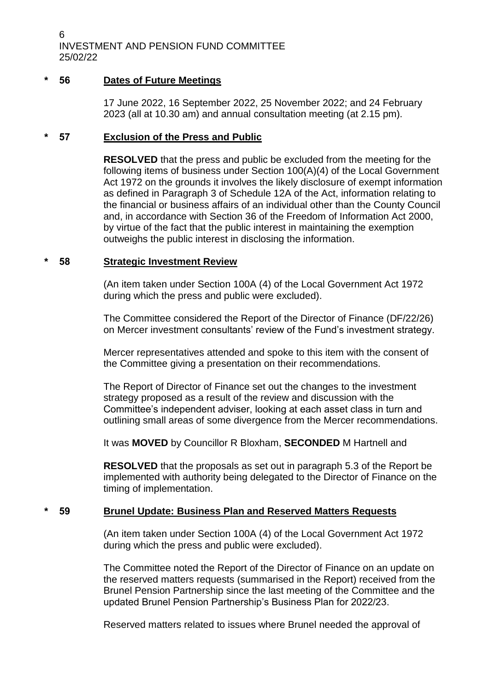6 INVESTMENT AND PENSION FUND COMMITTEE 25/02/22

### **\* 56 Dates of Future Meetings**

17 June 2022, 16 September 2022, 25 November 2022; and 24 February 2023 (all at 10.30 am) and annual consultation meeting (at 2.15 pm).

### **\* 57 Exclusion of the Press and Public**

**RESOLVED** that the press and public be excluded from the meeting for the following items of business under Section 100(A)(4) of the Local Government Act 1972 on the grounds it involves the likely disclosure of exempt information as defined in Paragraph 3 of Schedule 12A of the Act, information relating to the financial or business affairs of an individual other than the County Council and, in accordance with Section 36 of the Freedom of Information Act 2000, by virtue of the fact that the public interest in maintaining the exemption outweighs the public interest in disclosing the information.

#### **\* 58 Strategic Investment Review**

(An item taken under Section 100A (4) of the Local Government Act 1972 during which the press and public were excluded).

The Committee considered the Report of the Director of Finance (DF/22/26) on Mercer investment consultants' review of the Fund's investment strategy.

Mercer representatives attended and spoke to this item with the consent of the Committee giving a presentation on their recommendations.

The Report of Director of Finance set out the changes to the investment strategy proposed as a result of the review and discussion with the Committee's independent adviser, looking at each asset class in turn and outlining small areas of some divergence from the Mercer recommendations.

It was **MOVED** by Councillor R Bloxham, **SECONDED** M Hartnell and

**RESOLVED** that the proposals as set out in paragraph 5.3 of the Report be implemented with authority being delegated to the Director of Finance on the timing of implementation.

# **\* 59 Brunel Update: Business Plan and Reserved Matters Requests**

(An item taken under Section 100A (4) of the Local Government Act 1972 during which the press and public were excluded).

The Committee noted the Report of the Director of Finance on an update on the reserved matters requests (summarised in the Report) received from the Brunel Pension Partnership since the last meeting of the Committee and the updated Brunel Pension Partnership's Business Plan for 2022/23.

Reserved matters related to issues where Brunel needed the approval of